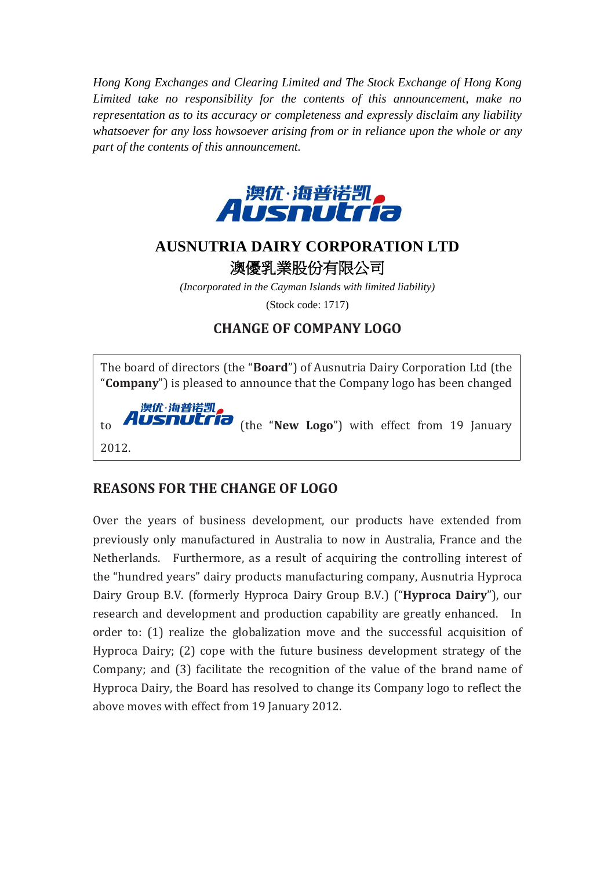*Hong Kong Exchanges and Clearing Limited and The Stock Exchange of Hong Kong Limited take no responsibility for the contents of this announcement, make no representation as to its accuracy or completeness and expressly disclaim any liability whatsoever for any loss howsoever arising from or in reliance upon the whole or any part of the contents of this announcement.*



## **AUSNUTRIA DAIRY CORPORATION LTD** 澳優乳業股份有限公司

*(Incorporated in the Cayman Islands with limited liability)* (Stock code: 1717)

## **CHANGE OF COMPANY LOGO**

The board of directors (the "**Board**") of Ausnutria Dairy Corporation Ltd (the "**Company**") is pleased to announce that the Company logo has been changed



to **AUSNULTIO** (the "New Logo") with effect from 19 January

## **REASONS FOR THE CHANGE OF LOGO**

Over the years of business development, our products have extended from previously only manufactured in Australia to now in Australia, France and the Netherlands. Furthermore, as a result of acquiring the controlling interest of the "hundred years" dairy products manufacturing company, Ausnutria Hyproca Dairy Group B.V. (formerly Hyproca Dairy Group B.V.) ("**Hyproca Dairy**"), our research and development and production capability are greatly enhanced. In order to: (1) realize the globalization move and the successful acquisition of Hyproca Dairy; (2) cope with the future business development strategy of the Company; and (3) facilitate the recognition of the value of the brand name of Hyproca Dairy, the Board has resolved to change its Company logo to reflect the above moves with effect from 19 January 2012.